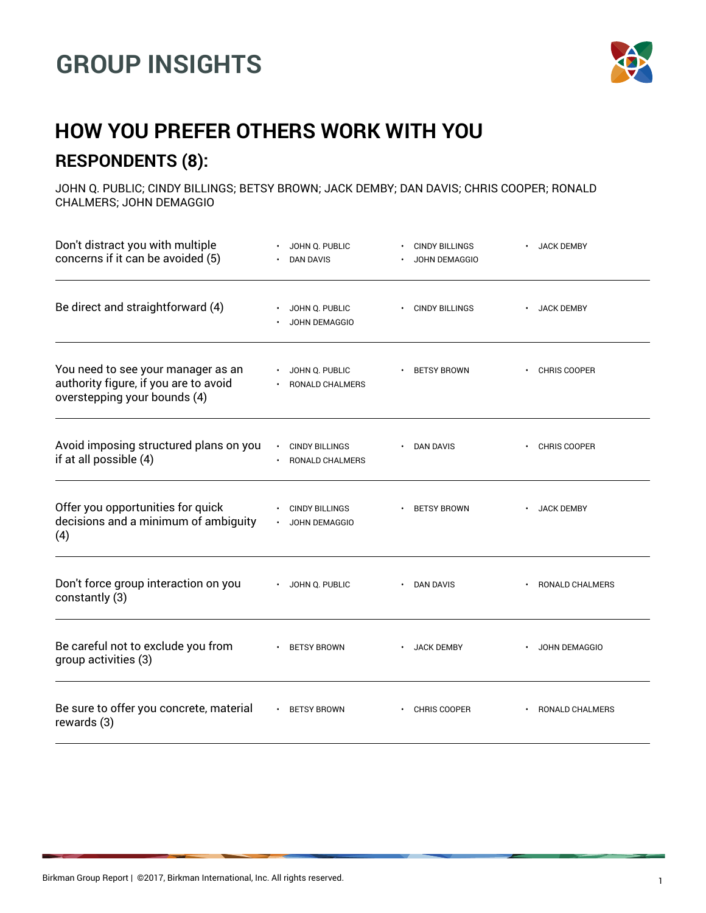## **GROUP INSIGHTS**



## **HOW YOU PREFER OTHERS WORK WITH YOU RESPONDENTS (8):**

JOHN Q. PUBLIC; CINDY BILLINGS; BETSY BROWN; JACK DEMBY; DAN DAVIS; CHRIS COOPER; RONALD CHALMERS; JOHN DEMAGGIO

| Don't distract you with multiple<br>concerns if it can be avoided (5)                                       | JOHN Q. PUBLIC<br><b>DAN DAVIS</b>       | <b>CINDY BILLINGS</b><br><b>JOHN DEMAGGIO</b> | <b>JACK DEMBY</b>              |
|-------------------------------------------------------------------------------------------------------------|------------------------------------------|-----------------------------------------------|--------------------------------|
| Be direct and straightforward (4)                                                                           | JOHN Q. PUBLIC<br><b>JOHN DEMAGGIO</b>   | <b>CINDY BILLINGS</b>                         | <b>JACK DEMBY</b>              |
| You need to see your manager as an<br>authority figure, if you are to avoid<br>overstepping your bounds (4) | JOHN Q. PUBLIC<br><b>RONALD CHALMERS</b> | <b>BETSY BROWN</b>                            | <b>CHRIS COOPER</b>            |
| Avoid imposing structured plans on you<br>if at all possible (4)                                            | <b>CINDY BILLINGS</b><br>RONALD CHALMERS | DAN DAVIS                                     | CHRIS COOPER                   |
| Offer you opportunities for quick<br>decisions and a minimum of ambiguity<br>(4)                            | <b>CINDY BILLINGS</b><br>JOHN DEMAGGIO   | <b>BETSY BROWN</b>                            | <b>JACK DEMBY</b><br>$\bullet$ |
| Don't force group interaction on you<br>constantly (3)                                                      | · JOHN Q. PUBLIC                         | DAN DAVIS                                     | RONALD CHALMERS                |
| Be careful not to exclude you from<br>group activities (3)                                                  | <b>BETSY BROWN</b>                       | <b>JACK DEMBY</b>                             | JOHN DEMAGGIO                  |
| Be sure to offer you concrete, material<br>rewards (3)                                                      | <b>BETSY BROWN</b>                       | CHRIS COOPER                                  | RONALD CHALMERS                |